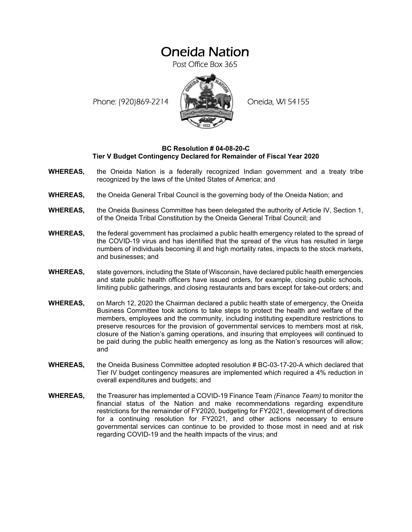# Oneida Nation

Post Office Box 365

Phone: (920)869-2214 (XXXXXXX) Oneida, WI 54155



### **BC Resolution # 04-08-20-C Tier V Budget Contingency Declared for Remainder of Fiscal Year 2020**

- **WHEREAS,** the Oneida Nation is a federally recognized Indian government and a treaty tribe recognized by the laws of the United States of America; and
- **WHEREAS,** the Oneida General Tribal Council is the governing body of the Oneida Nation; and
- **WHEREAS,** the Oneida Business Committee has been delegated the authority of Article IV, Section 1, of the Oneida Tribal Constitution by the Oneida General Tribal Council; and
- **WHEREAS,** the federal government has proclaimed a public health emergency related to the spread of the COVID-19 virus and has identified that the spread of the virus has resulted in large numbers of individuals becoming ill and high mortality rates, impacts to the stock markets, and businesses; and
- **WHEREAS,** state governors, including the State of Wisconsin, have declared public health emergencies and state public health officers have issued orders, for example, closing public schools, limiting public gatherings, and closing restaurants and bars except for take-out orders; and
- **WHEREAS,** on March 12, 2020 the Chairman declared a public health state of emergency, the Oneida Business Committee took actions to take steps to protect the health and welfare of the members, employees and the community, including instituting expenditure restrictions to preserve resources for the provision of governmental services to members most at risk, closure of the Nation's gaming operations, and insuring that employees will continued to be paid during the public health emergency as long as the Nation's resources will allow; and
- **WHEREAS,** the Oneida Business Committee adopted resolution # BC-03-17-20-A which declared that Tier IV budget contingency measures are implemented which required a 4% reduction in overall expenditures and budgets; and
- **WHEREAS,** the Treasurer has implemented a COVID-19 Finance Team *(Finance Team)* to monitor the financial status of the Nation and make recommendations regarding expenditure restrictions for the remainder of FY2020, budgeting for FY2021, development of directions for a continuing resolution for FY2021, and other actions necessary to ensure governmental services can continue to be provided to those most in need and at risk regarding COVID-19 and the health impacts of the virus; and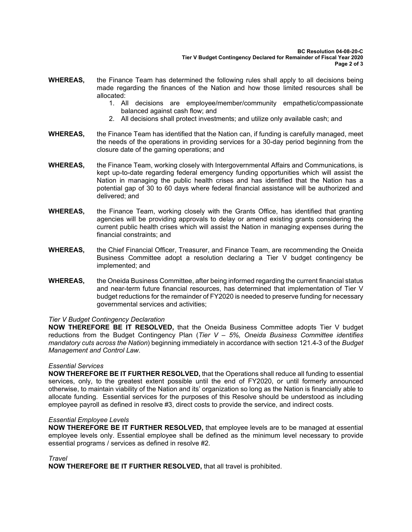- **WHEREAS,** the Finance Team has determined the following rules shall apply to all decisions being made regarding the finances of the Nation and how those limited resources shall be allocated:
	- 1. All decisions are employee/member/community empathetic/compassionate balanced against cash flow; and
	- 2. All decisions shall protect investments; and utilize only available cash; and
- **WHEREAS,** the Finance Team has identified that the Nation can, if funding is carefully managed, meet the needs of the operations in providing services for a 30-day period beginning from the closure date of the gaming operations; and
- **WHEREAS,** the Finance Team, working closely with Intergovernmental Affairs and Communications, is kept up-to-date regarding federal emergency funding opportunities which will assist the Nation in managing the public health crises and has identified that the Nation has a potential gap of 30 to 60 days where federal financial assistance will be authorized and delivered; and
- **WHEREAS,** the Finance Team, working closely with the Grants Office, has identified that granting agencies will be providing approvals to delay or amend existing grants considering the current public health crises which will assist the Nation in managing expenses during the financial constraints; and
- **WHEREAS,** the Chief Financial Officer, Treasurer, and Finance Team, are recommending the Oneida Business Committee adopt a resolution declaring a Tier V budget contingency be implemented; and
- **WHEREAS,** the Oneida Business Committee, after being informed regarding the current financial status and near-term future financial resources, has determined that implementation of Tier V budget reductions for the remainder of FY2020 is needed to preserve funding for necessary governmental services and activities;

# *Tier V Budget Contingency Declaration*

**NOW THEREFORE BE IT RESOLVED,** that the Oneida Business Committee adopts Tier V budget reductions from the Budget Contingency Plan (*Tier V – 5%, Oneida Business Committee identifies mandatory cuts across the Nation*) beginning immediately in accordance with section 121.4-3 of the *Budget Management and Control Law*.

### *Essential Services*

**NOW THEREFORE BE IT FURTHER RESOLVED,** that the Operations shall reduce all funding to essential services, only, to the greatest extent possible until the end of FY2020, or until formerly announced otherwise, to maintain viability of the Nation and its' organization so long as the Nation is financially able to allocate funding. Essential services for the purposes of this Resolve should be understood as including employee payroll as defined in resolve #3, direct costs to provide the service, and indirect costs.

### *Essential Employee Levels*

**NOW THEREFORE BE IT FURTHER RESOLVED,** that employee levels are to be managed at essential employee levels only. Essential employee shall be defined as the minimum level necessary to provide essential programs / services as defined in resolve #2.

*Travel* 

**NOW THEREFORE BE IT FURTHER RESOLVED,** that all travel is prohibited.